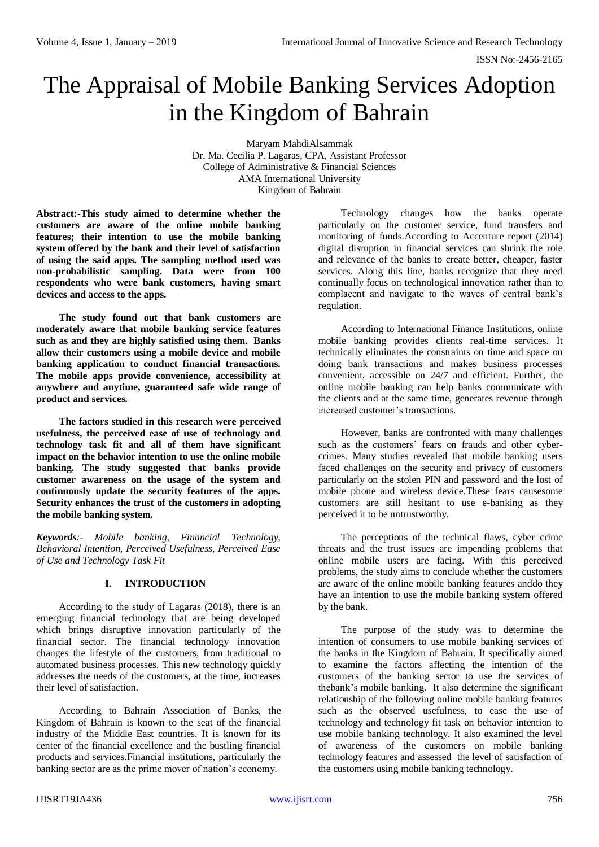# The Appraisal of Mobile Banking Services Adoption in the Kingdom of Bahrain

Maryam MahdiAlsammak Dr. Ma. Cecilia P. Lagaras, CPA, Assistant Professor College of Administrative & Financial Sciences AMA International University Kingdom of Bahrain

**Abstract:-This study aimed to determine whether the customers are aware of the online mobile banking features; their intention to use the mobile banking system offered by the bank and their level of satisfaction of using the said apps. The sampling method used was non-probabilistic sampling. Data were from 100 respondents who were bank customers, having smart devices and access to the apps.** 

**The study found out that bank customers are moderately aware that mobile banking service features such as and they are highly satisfied using them. Banks allow their customers using a mobile device and mobile banking application to conduct financial transactions. The mobile apps provide convenience, accessibility at anywhere and anytime, guaranteed safe wide range of product and services.**

**The factors studied in this research were perceived usefulness, the perceived ease of use of technology and technology task fit and all of them have significant impact on the behavior intention to use the online mobile banking. The study suggested that banks provide customer awareness on the usage of the system and continuously update the security features of the apps. Security enhances the trust of the customers in adopting the mobile banking system.**

*Keywords:- Mobile banking, Financial Technology, Behavioral Intention, Perceived Usefulness, Perceived Ease of Use and Technology Task Fit*

# **I. INTRODUCTION**

According to the study of Lagaras (2018), there is an emerging financial technology that are being developed which brings disruptive innovation particularly of the financial sector. The financial technology innovation changes the lifestyle of the customers, from traditional to automated business processes. This new technology quickly addresses the needs of the customers, at the time, increases their level of satisfaction.

According to Bahrain Association of Banks, the Kingdom of Bahrain is known to the seat of the financial industry of the Middle East countries. It is known for its center of the financial excellence and the bustling financial products and services.Financial institutions, particularly the banking sector are as the prime mover of nation's economy.

Technology changes how the banks operate particularly on the customer service, fund transfers and monitoring of funds.According to Accenture report (2014) digital disruption in financial services can shrink the role and relevance of the banks to create better, cheaper, faster services. Along this line, banks recognize that they need continually focus on technological innovation rather than to complacent and navigate to the waves of central bank's regulation.

According to International Finance Institutions, online mobile banking provides clients real-time services. It technically eliminates the constraints on time and space on doing bank transactions and makes business processes convenient, accessible on 24/7 and efficient. Further, the online mobile banking can help banks communicate with the clients and at the same time, generates revenue through increased customer's transactions.

However, banks are confronted with many challenges such as the customers' fears on frauds and other cybercrimes. Many studies revealed that mobile banking users faced challenges on the security and privacy of customers particularly on the stolen PIN and password and the lost of mobile phone and wireless device.These fears causesome customers are still hesitant to use e-banking as they perceived it to be untrustworthy.

The perceptions of the technical flaws, cyber crime threats and the trust issues are impending problems that online mobile users are facing. With this perceived problems, the study aims to conclude whether the customers are aware of the online mobile banking features anddo they have an intention to use the mobile banking system offered by the bank.

The purpose of the study was to determine the intention of consumers to use mobile banking services of the banks in the Kingdom of Bahrain. It specifically aimed to examine the factors affecting the intention of the customers of the banking sector to use the services of thebank's mobile banking. It also determine the significant relationship of the following online mobile banking features such as the observed usefulness, to ease the use of technology and technology fit task on behavior intention to use mobile banking technology. It also examined the level of awareness of the customers on mobile banking technology features and assessed the level of satisfaction of the customers using mobile banking technology.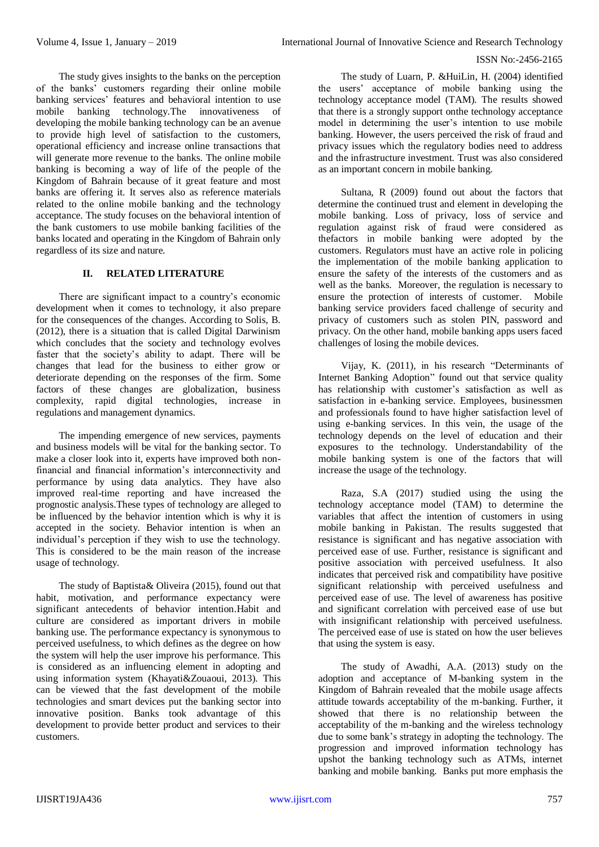The study gives insights to the banks on the perception of the banks' customers regarding their online mobile banking services' features and behavioral intention to use mobile banking technology.The innovativeness of developing the mobile banking technology can be an avenue to provide high level of satisfaction to the customers, operational efficiency and increase online transactions that will generate more revenue to the banks. The online mobile banking is becoming a way of life of the people of the Kingdom of Bahrain because of it great feature and most banks are offering it. It serves also as reference materials related to the online mobile banking and the technology acceptance. The study focuses on the behavioral intention of the bank customers to use mobile banking facilities of the banks located and operating in the Kingdom of Bahrain only regardless of its size and nature.

## **II. RELATED LITERATURE**

There are significant impact to a country's economic development when it comes to technology, it also prepare for the consequences of the changes. According to Solis, B. (2012), there is a situation that is called Digital Darwinism which concludes that the society and technology evolves faster that the society's ability to adapt. There will be changes that lead for the business to either grow or deteriorate depending on the responses of the firm. Some factors of these changes are globalization, business complexity, rapid digital technologies, increase in regulations and management dynamics.

The impending emergence of new services, payments and business models will be vital for the banking sector. To make a closer look into it, experts have improved both nonfinancial and financial information's interconnectivity and performance by using data analytics. They have also improved real-time reporting and have increased the prognostic analysis.These types of technology are alleged to be influenced by the behavior intention which is why it is accepted in the society. Behavior intention is when an individual's perception if they wish to use the technology. This is considered to be the main reason of the increase usage of technology.

The study of Baptista& Oliveira (2015), found out that habit, motivation, and performance expectancy were significant antecedents of behavior intention.Habit and culture are considered as important drivers in mobile banking use. The performance expectancy is synonymous to perceived usefulness, to which defines as the degree on how the system will help the user improve his performance. This is considered as an influencing element in adopting and using information system (Khayati&Zouaoui, 2013). This can be viewed that the fast development of the mobile technologies and smart devices put the banking sector into innovative position. Banks took advantage of this development to provide better product and services to their customers.

The study of Luarn, P. &HuiLin, H. (2004) identified the users' acceptance of mobile banking using the technology acceptance model (TAM). The results showed that there is a strongly support onthe technology acceptance model in determining the user's intention to use mobile banking. However, the users perceived the risk of fraud and privacy issues which the regulatory bodies need to address and the infrastructure investment. Trust was also considered as an important concern in mobile banking.

Sultana, R (2009) found out about the factors that determine the continued trust and element in developing the mobile banking. Loss of privacy, loss of service and regulation against risk of fraud were considered as thefactors in mobile banking were adopted by the customers. Regulators must have an active role in policing the implementation of the mobile banking application to ensure the safety of the interests of the customers and as well as the banks. Moreover, the regulation is necessary to ensure the protection of interests of customer. Mobile banking service providers faced challenge of security and privacy of customers such as stolen PIN, password and privacy. On the other hand, mobile banking apps users faced challenges of losing the mobile devices.

Vijay, K. (2011), in his research "Determinants of Internet Banking Adoption" found out that service quality has relationship with customer's satisfaction as well as satisfaction in e-banking service. Employees, businessmen and professionals found to have higher satisfaction level of using e-banking services. In this vein, the usage of the technology depends on the level of education and their exposures to the technology. Understandability of the mobile banking system is one of the factors that will increase the usage of the technology.

Raza, S.A (2017) studied using the using the technology acceptance model (TAM) to determine the variables that affect the intention of customers in using mobile banking in Pakistan. The results suggested that resistance is significant and has negative association with perceived ease of use. Further, resistance is significant and positive association with perceived usefulness. It also indicates that perceived risk and compatibility have positive significant relationship with perceived usefulness and perceived ease of use. The level of awareness has positive and significant correlation with perceived ease of use but with insignificant relationship with perceived usefulness. The perceived ease of use is stated on how the user believes that using the system is easy.

The study of Awadhi, A.A. (2013) study on the adoption and acceptance of M-banking system in the Kingdom of Bahrain revealed that the mobile usage affects attitude towards acceptability of the m-banking. Further, it showed that there is no relationship between the acceptability of the m-banking and the wireless technology due to some bank's strategy in adopting the technology. The progression and improved information technology has upshot the banking technology such as ATMs, internet banking and mobile banking. Banks put more emphasis the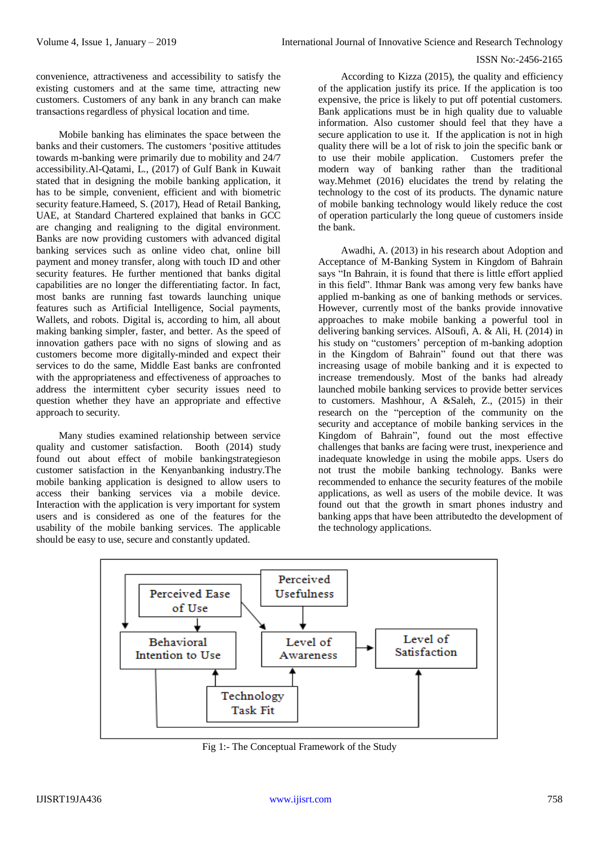convenience, attractiveness and accessibility to satisfy the existing customers and at the same time, attracting new customers. Customers of any bank in any branch can make transactions regardless of physical location and time.

Mobile banking has eliminates the space between the banks and their customers. The customers 'positive attitudes towards m-banking were primarily due to mobility and 24/7 accessibility.Al-Qatami, L., (2017) of Gulf Bank in Kuwait stated that in designing the mobile banking application, it has to be simple, convenient, efficient and with biometric security feature.Hameed, S. (2017), Head of Retail Banking, UAE, at Standard Chartered explained that banks in GCC are changing and realigning to the digital environment. Banks are now providing customers with advanced digital banking services such as online video chat, online bill payment and money transfer, along with touch ID and other security features. He further mentioned that banks digital capabilities are no longer the differentiating factor. In fact, most banks are running fast towards launching unique features such as Artificial Intelligence, Social payments, Wallets, and robots. Digital is, according to him, all about making banking simpler, faster, and better. As the speed of innovation gathers pace with no signs of slowing and as customers become more digitally-minded and expect their services to do the same, Middle East banks are confronted with the appropriateness and effectiveness of approaches to address the intermittent cyber security issues need to question whether they have an appropriate and effective approach to security.

Many studies examined relationship between service quality and customer satisfaction. Booth (2014) study found out about effect of mobile bankingstrategieson customer satisfaction in the Kenyanbanking industry.The mobile banking application is designed to allow users to access their banking services via a mobile device. Interaction with the application is very important for system users and is considered as one of the features for the usability of the mobile banking services. The applicable should be easy to use, secure and constantly updated.

According to Kizza (2015), the quality and efficiency of the application justify its price. If the application is too expensive, the price is likely to put off potential customers. Bank applications must be in high quality due to valuable information. Also customer should feel that they have a secure application to use it. If the application is not in high quality there will be a lot of risk to join the specific bank or to use their mobile application. Customers prefer the modern way of banking rather than the traditional way.Mehmet (2016) elucidates the trend by relating the technology to the cost of its products. The dynamic nature of mobile banking technology would likely reduce the cost of operation particularly the long queue of customers inside the bank.

Awadhi, A. (2013) in his research about Adoption and Acceptance of M-Banking System in Kingdom of Bahrain says "In Bahrain, it is found that there is little effort applied in this field". Ithmar Bank was among very few banks have applied m-banking as one of banking methods or services. However, currently most of the banks provide innovative approaches to make mobile banking a powerful tool in delivering banking services. AlSoufi, A. & Ali, H. (2014) in his study on "customers' perception of m-banking adoption in the Kingdom of Bahrain" found out that there was increasing usage of mobile banking and it is expected to increase tremendously. Most of the banks had already launched mobile banking services to provide better services to customers. Mashhour, A &Saleh, Z., (2015) in their research on the "perception of the community on the security and acceptance of mobile banking services in the Kingdom of Bahrain", found out the most effective challenges that banks are facing were trust, inexperience and inadequate knowledge in using the mobile apps. Users do not trust the mobile banking technology. Banks were recommended to enhance the security features of the mobile applications, as well as users of the mobile device. It was found out that the growth in smart phones industry and banking apps that have been attributedto the development of the technology applications.



Fig 1:- The Conceptual Framework of the Study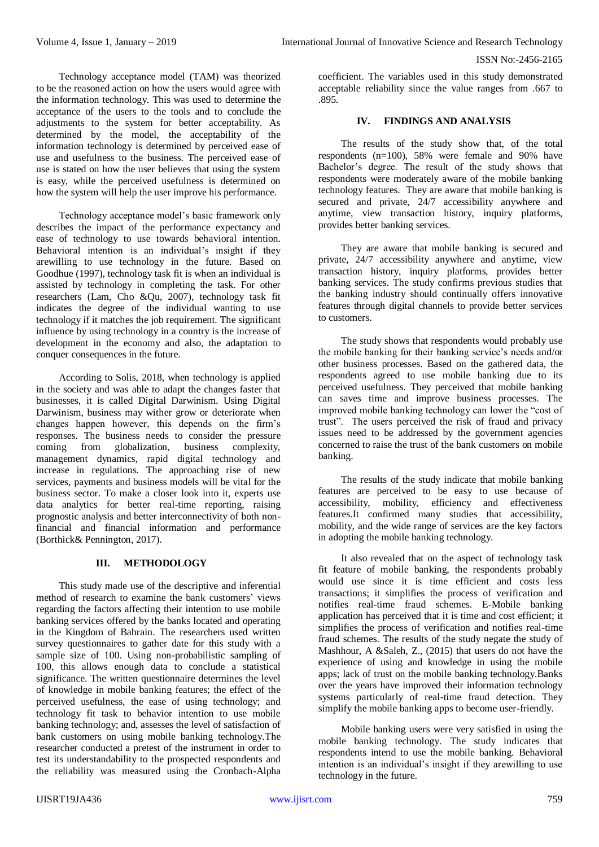Technology acceptance model (TAM) was theorized to be the reasoned action on how the users would agree with the information technology. This was used to determine the acceptance of the users to the tools and to conclude the adjustments to the system for better acceptability. As determined by the model, the acceptability of the information technology is determined by perceived ease of use and usefulness to the business. The perceived ease of use is stated on how the user believes that using the system is easy, while the perceived usefulness is determined on how the system will help the user improve his performance.

Technology acceptance model's basic framework only describes the impact of the performance expectancy and ease of technology to use towards behavioral intention. Behavioral intention is an individual's insight if they arewilling to use technology in the future. Based on Goodhue (1997), technology task fit is when an individual is assisted by technology in completing the task. For other researchers (Lam, Cho &Qu, 2007), technology task fit indicates the degree of the individual wanting to use technology if it matches the job requirement. The significant influence by using technology in a country is the increase of development in the economy and also, the adaptation to conquer consequences in the future.

According to Solis, 2018, when technology is applied in the society and was able to adapt the changes faster that businesses, it is called Digital Darwinism. Using Digital Darwinism, business may wither grow or deteriorate when changes happen however, this depends on the firm's responses. The business needs to consider the pressure coming from globalization, business complexity, management dynamics, rapid digital technology and increase in regulations. The approaching rise of new services, payments and business models will be vital for the business sector. To make a closer look into it, experts use data analytics for better real-time reporting, raising prognostic analysis and better interconnectivity of both nonfinancial and financial information and performance (Borthick& Pennington, 2017).

# **III. METHODOLOGY**

This study made use of the descriptive and inferential method of research to examine the bank customers' views regarding the factors affecting their intention to use mobile banking services offered by the banks located and operating in the Kingdom of Bahrain. The researchers used written survey questionnaires to gather date for this study with a sample size of 100. Using non-probabilistic sampling of 100, this allows enough data to conclude a statistical significance. The written questionnaire determines the level of knowledge in mobile banking features; the effect of the perceived usefulness, the ease of using technology; and technology fit task to behavior intention to use mobile banking technology; and, assesses the level of satisfaction of bank customers on using mobile banking technology.The researcher conducted a pretest of the instrument in order to test its understandability to the prospected respondents and the reliability was measured using the Cronbach-Alpha

coefficient. The variables used in this study demonstrated acceptable reliability since the value ranges from .667 to .895.

## **IV. FINDINGS AND ANALYSIS**

The results of the study show that, of the total respondents (n=100), 58% were female and 90% have Bachelor's degree. The result of the study shows that respondents were moderately aware of the mobile banking technology features. They are aware that mobile banking is secured and private, 24/7 accessibility anywhere and anytime, view transaction history, inquiry platforms, provides better banking services.

They are aware that mobile banking is secured and private, 24/7 accessibility anywhere and anytime, view transaction history, inquiry platforms, provides better banking services. The study confirms previous studies that the banking industry should continually offers innovative features through digital channels to provide better services to customers.

The study shows that respondents would probably use the mobile banking for their banking service's needs and/or other business processes. Based on the gathered data, the respondents agreed to use mobile banking due to its perceived usefulness. They perceived that mobile banking can saves time and improve business processes. The improved mobile banking technology can lower the "cost of trust". The users perceived the risk of fraud and privacy issues need to be addressed by the government agencies concerned to raise the trust of the bank customers on mobile banking.

The results of the study indicate that mobile banking features are perceived to be easy to use because of accessibility, mobility, efficiency and effectiveness features.It confirmed many studies that accessibility, mobility, and the wide range of services are the key factors in adopting the mobile banking technology.

It also revealed that on the aspect of technology task fit feature of mobile banking, the respondents probably would use since it is time efficient and costs less transactions; it simplifies the process of verification and notifies real-time fraud schemes. E-Mobile banking application has perceived that it is time and cost efficient; it simplifies the process of verification and notifies real-time fraud schemes. The results of the study negate the study of Mashhour, A &Saleh, Z., (2015) that users do not have the experience of using and knowledge in using the mobile apps; lack of trust on the mobile banking technology.Banks over the years have improved their information technology systems particularly of real-time fraud detection. They simplify the mobile banking apps to become user-friendly.

Mobile banking users were very satisfied in using the mobile banking technology. The study indicates that respondents intend to use the mobile banking. Behavioral intention is an individual's insight if they arewilling to use technology in the future.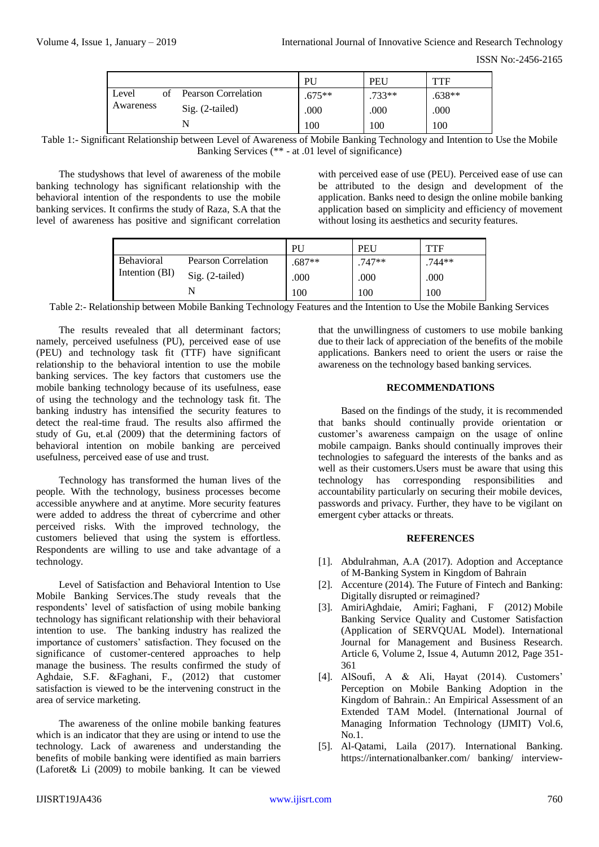|                                    | PU       | PEU      | "TF    |  |
|------------------------------------|----------|----------|--------|--|
| Pearson Correlation<br>of<br>Level | $.675**$ | $.733**$ | .638** |  |
| Awareness<br>$Sig. (2-tailed)$     | .000     | .000     | .000   |  |
| N                                  | 100      | 100      | 100    |  |

Table 1:- Significant Relationship between Level of Awareness of Mobile Banking Technology and Intention to Use the Mobile Banking Services (\*\* - at .01 level of significance)

The studyshows that level of awareness of the mobile banking technology has significant relationship with the behavioral intention of the respondents to use the mobile banking services. It confirms the study of Raza, S.A that the level of awareness has positive and significant correlation

with perceived ease of use (PEU). Perceived ease of use can be attributed to the design and development of the application. Banks need to design the online mobile banking application based on simplicity and efficiency of movement without losing its aesthetics and security features.

|                              |                            | PU     | <b>PEU</b> | TTF    |
|------------------------------|----------------------------|--------|------------|--------|
| Behavioral<br>Intention (BI) | <b>Pearson Correlation</b> | .687** | .747**     | .744** |
|                              | Sig. (2-tailed)            | .000   | .000       | .000   |
|                              |                            | 100    | 100        | 100    |

Table 2:- Relationship between Mobile Banking Technology Features and the Intention to Use the Mobile Banking Services

The results revealed that all determinant factors; namely, perceived usefulness (PU), perceived ease of use (PEU) and technology task fit (TTF) have significant relationship to the behavioral intention to use the mobile banking services. The key factors that customers use the mobile banking technology because of its usefulness, ease of using the technology and the technology task fit. The banking industry has intensified the security features to detect the real-time fraud. The results also affirmed the study of Gu, et.al (2009) that the determining factors of behavioral intention on mobile banking are perceived usefulness, perceived ease of use and trust.

Technology has transformed the human lives of the people. With the technology, business processes become accessible anywhere and at anytime. More security features were added to address the threat of cybercrime and other perceived risks. With the improved technology, the customers believed that using the system is effortless. Respondents are willing to use and take advantage of a technology.

Level of Satisfaction and Behavioral Intention to Use Mobile Banking Services.The study reveals that the respondents' level of satisfaction of using mobile banking technology has significant relationship with their behavioral intention to use. The banking industry has realized the importance of customers' satisfaction. They focused on the significance of customer-centered approaches to help manage the business. The results confirmed the study of Aghdaie, S.F. &Faghani, F., (2012) that customer satisfaction is viewed to be the intervening construct in the area of service marketing.

The awareness of the online mobile banking features which is an indicator that they are using or intend to use the technology. Lack of awareness and understanding the benefits of mobile banking were identified as main barriers (Laforet& Li (2009) to mobile banking. It can be viewed

that the unwillingness of customers to use mobile banking due to their lack of appreciation of the benefits of the mobile applications. Bankers need to orient the users or raise the awareness on the technology based banking services.

### **RECOMMENDATIONS**

Based on the findings of the study, it is recommended that banks should continually provide orientation or customer's awareness campaign on the usage of online mobile campaign. Banks should continually improves their technologies to safeguard the interests of the banks and as well as their customers.Users must be aware that using this technology has corresponding responsibilities and accountability particularly on securing their mobile devices, passwords and privacy. Further, they have to be vigilant on emergent cyber attacks or threats.

#### **REFERENCES**

- [1]. Abdulrahman, A.A (2017). Adoption and Acceptance of M-Banking System in Kingdom of Bahrain
- [2]. Accenture (2014). The Future of Fintech and Banking: Digitally disrupted or reimagined?
- [3]. [AmiriAghdaie,](http://ijmbr.srbiau.ac.ir/?_action=article&au=14255&_au=S.+F.++Amiri+Aghdaie) Amiri; [Faghani, F \(2012\)](http://ijmbr.srbiau.ac.ir/?_action=article&au=1158&_au=F.++Faghani) Mobile Banking Service Quality and Customer Satisfaction (Application of SERVQUAL Model). International Journal for Management and Business Research. Article 6, [Volume 2, Issue 4,](http://ijmbr.srbiau.ac.ir/issue_13_373_Volume+2%2C+Issue+4%2C+Autumn+2012%2C+Page+351-361%2C+Page+271-371.html) Autumn 2012, Page 351- 361
- [4]. AlSoufi, A & Ali, Hayat (2014). Customers' Perception on Mobile Banking Adoption in the Kingdom of Bahrain.: An Empirical Assessment of an Extended TAM Model. (International Journal of Managing Information Technology (IJMIT) Vol.6,  $N<sub>0</sub>1$
- [5]. Al-Qatami, Laila (2017). International Banking. [https://internationalbanker.com/ banking/ interview-](https://internationalbanker.com/%20banking/%20interview-laila-al-qatami)